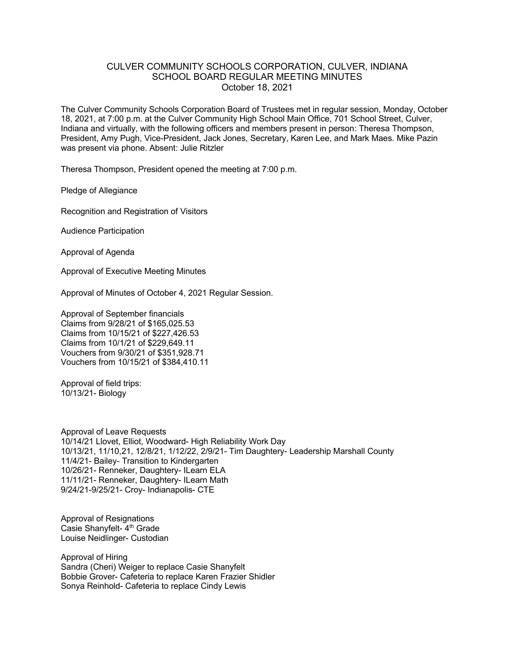## CULVER COMMUNITY SCHOOLS CORPORATION, CULVER, INDIANA SCHOOL BOARD REGULAR MEETING MINUTES October 18, 2021

The Culver Community Schools Corporation Board of Trustees met in regular session, Monday, October 18, 2021, at 7:00 p.m. at the Culver Community High School Main Office, 701 School Street, Culver, Indiana and virtually, with the following officers and members present in person: Theresa Thompson, President, Amy Pugh, Vice-President, Jack Jones, Secretary, Karen Lee, and Mark Maes. Mike Pazin was present via phone. Absent: Julie Ritzler

Theresa Thompson, President opened the meeting at 7:00 p.m.

Pledge of Allegiance

Recognition and Registration of Visitors

Audience Participation

Approval of Agenda

Approval of Executive Meeting Minutes

Approval of Minutes of October 4, 2021 Regular Session.

Approval of September financials Claims from 9/28/21 of \$165,025.53 Claims from 10/15/21 of \$227,426.53 Claims from 10/1/21 of \$229,649.11 Vouchers from 9/30/21 of \$351,928.71 Vouchers from 10/15/21 of \$384,410.11

Approval of field trips: 10/13/21- Biology

Approval of Leave Requests 10/14/21 Llovet, Elliot, Woodward- High Reliability Work Day 10/13/21, 11/10,21, 12/8/21, 1/12/22, 2/9/21- Tim Daughtery- Leadership Marshall County 11/4/21- Bailey- Transition to Kindergarten 10/26/21- Renneker, Daughtery- ILearn ELA 11/11/21- Renneker, Daughtery- ILearn Math 9/24/21-9/25/21- Croy- Indianapolis- CTE

Approval of Resignations Casie Shanyfelt- 4<sup>th</sup> Grade Louise Neidlinger- Custodian

Approval of Hiring Sandra (Cheri) Weiger to replace Casie Shanyfelt Bobbie Grover- Cafeteria to replace Karen Frazier Shidler Sonya Reinhold- Cafeteria to replace Cindy Lewis